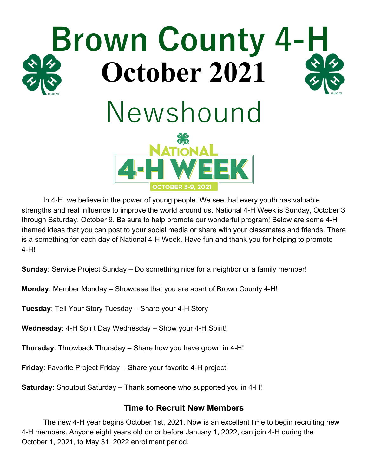

In 4-H, we believe in the power of young people. We see that every youth has valuable strengths and real influence to improve the world around us. National 4-H Week is Sunday, October 3 through Saturday, October 9. Be sure to help promote our wonderful program! Below are some 4-H themed ideas that you can post to your social media or share with your classmates and friends. There is a something for each day of National 4-H Week. Have fun and thank you for helping to promote 4-H!

**Sunday**: Service Project Sunday – Do something nice for a neighbor or a family member!

**Monday**: Member Monday – Showcase that you are apart of Brown County 4-H!

**Tuesday**: Tell Your Story Tuesday – Share your 4-H Story

**Wednesday**: 4-H Spirit Day Wednesday – Show your 4-H Spirit!

**Thursday**: Throwback Thursday – Share how you have grown in 4-H!

**Friday**: Favorite Project Friday – Share your favorite 4-H project!

**Saturday**: Shoutout Saturday – Thank someone who supported you in 4-H!

#### **Time to Recruit New Members**

The new 4-H year begins October 1st, 2021. Now is an excellent time to begin recruiting new 4-H members. Anyone eight years old on or before January 1, 2022, can join 4-H during the October 1, 2021, to May 31, 2022 enrollment period.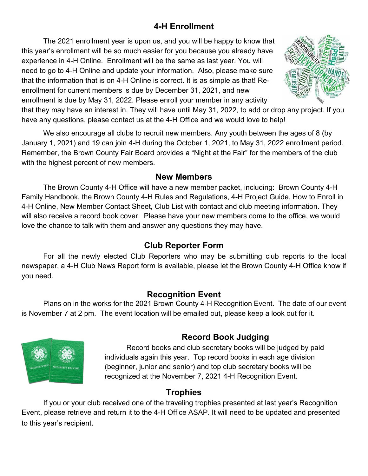# **4-H Enrollment**

The 2021 enrollment year is upon us, and you will be happy to know that this year's enrollment will be so much easier for you because you already have experience in 4-H Online. Enrollment will be the same as last year. You will need to go to 4-H Online and update your information. Also, please make sure that the information that is on 4-H Online is correct. It is as simple as that! Reenrollment for current members is due by December 31, 2021, and new enrollment is due by May 31, 2022. Please enroll your member in any activity



that they may have an interest in. They will have until May 31, 2022, to add or drop any project. If you have any questions, please contact us at the 4-H Office and we would love to help!

We also encourage all clubs to recruit new members. Any youth between the ages of 8 (by January 1, 2021) and 19 can join 4-H during the October 1, 2021, to May 31, 2022 enrollment period. Remember, the Brown County Fair Board provides a "Night at the Fair" for the members of the club with the highest percent of new members.

#### **New Members**

The Brown County 4-H Office will have a new member packet, including: Brown County 4-H Family Handbook, the Brown County 4-H Rules and Regulations, 4-H Project Guide, How to Enroll in 4-H Online, New Member Contact Sheet, Club List with contact and club meeting information. They will also receive a record book cover. Please have your new members come to the office, we would love the chance to talk with them and answer any questions they may have.

## **Club Reporter Form**

For all the newly elected Club Reporters who may be submitting club reports to the local newspaper, a 4-H Club News Report form is available, please let the Brown County 4-H Office know if you need.

## **Recognition Event**

Plans on in the works for the 2021 Brown County 4-H Recognition Event. The date of our event is November 7 at 2 pm. The event location will be emailed out, please keep a look out for it.



# **Record Book Judging**

Record books and club secretary books will be judged by paid individuals again this year. Top record books in each age division (beginner, junior and senior) and top club secretary books will be recognized at the November 7, 2021 4-H Recognition Event.

## **Trophies**

If you or your club received one of the traveling trophies presented at last year's Recognition Event, please retrieve and return it to the 4-H Office ASAP. It will need to be updated and presented to this year's recipient.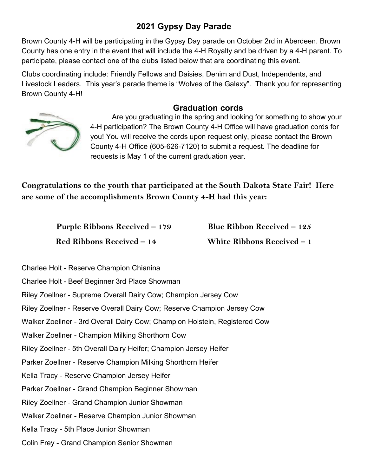# **2021 Gypsy Day Parade**

Brown County 4-H will be participating in the Gypsy Day parade on October 2rd in Aberdeen. Brown County has one entry in the event that will include the 4-H Royalty and be driven by a 4-H parent. To participate, please contact one of the clubs listed below that are coordinating this event.

Clubs coordinating include: Friendly Fellows and Daisies, Denim and Dust, Independents, and Livestock Leaders. This year's parade theme is "Wolves of the Galaxy". Thank you for representing Brown County 4-H!

#### **Graduation cords**



Are you graduating in the spring and looking for something to show your 4-H participation? The Brown County 4-H Office will have graduation cords for you! You will receive the cords upon request only, please contact the Brown County 4-H Office (605-626-7120) to submit a request. The deadline for requests is May 1 of the current graduation year.

**Congratulations to the youth that participated at the South Dakota State Fair! Here are some of the accomplishments Brown County 4-H had this year:**

> **Purple Ribbons Received – 179 Blue Ribbon Received – 125 Red Ribbons Received – 14 White Ribbons Received – 1**

- Charlee Holt Reserve Champion Chianina
- Charlee Holt Beef Beginner 3rd Place Showman
- Riley Zoellner Supreme Overall Dairy Cow; Champion Jersey Cow
- Riley Zoellner Reserve Overall Dairy Cow; Reserve Champion Jersey Cow
- Walker Zoellner 3rd Overall Dairy Cow; Champion Holstein, Registered Cow
- Walker Zoellner Champion Milking Shorthorn Cow
- Riley Zoellner 5th Overall Dairy Heifer; Champion Jersey Heifer
- Parker Zoellner Reserve Champion Milking Shorthorn Heifer
- Kella Tracy Reserve Champion Jersey Heifer
- Parker Zoellner Grand Champion Beginner Showman
- Riley Zoellner Grand Champion Junior Showman
- Walker Zoellner Reserve Champion Junior Showman
- Kella Tracy 5th Place Junior Showman
- Colin Frey Grand Champion Senior Showman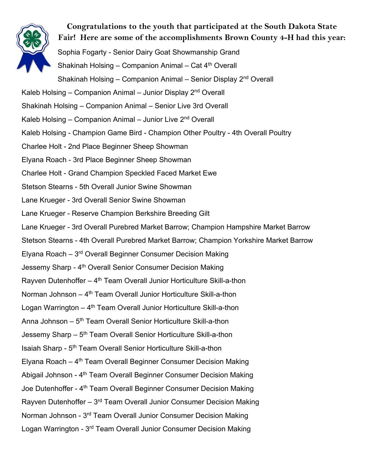

**Congratulations to the youth that participated at the South Dakota State Fair! Here are some of the accomplishments Brown County 4-H had this year:** Sophia Fogarty - Senior Dairy Goat Showmanship Grand Shakinah Holsing – Companion Animal – Cat 4th Overall Shakinah Holsing – Companion Animal – Senior Display 2<sup>nd</sup> Overall Kaleb Holsing – Companion Animal – Junior Display  $2<sup>nd</sup>$  Overall Shakinah Holsing – Companion Animal – Senior Live 3rd Overall Kaleb Holsing – Companion Animal – Junior Live 2<sup>nd</sup> Overall Kaleb Holsing - Champion Game Bird - Champion Other Poultry - 4th Overall Poultry Charlee Holt - 2nd Place Beginner Sheep Showman Elyana Roach - 3rd Place Beginner Sheep Showman Charlee Holt - Grand Champion Speckled Faced Market Ewe Stetson Stearns - 5th Overall Junior Swine Showman Lane Krueger - 3rd Overall Senior Swine Showman Lane Krueger - Reserve Champion Berkshire Breeding Gilt Lane Krueger - 3rd Overall Purebred Market Barrow; Champion Hampshire Market Barrow Stetson Stearns - 4th Overall Purebred Market Barrow; Champion Yorkshire Market Barrow Elyana Roach –  $3<sup>rd</sup>$  Overall Beginner Consumer Decision Making Jessemy Sharp - 4<sup>th</sup> Overall Senior Consumer Decision Making Rayven Dutenhoffer  $-4$ <sup>th</sup> Team Overall Junior Horticulture Skill-a-thon Norman Johnson – 4<sup>th</sup> Team Overall Junior Horticulture Skill-a-thon Logan Warrington  $-4$ <sup>th</sup> Team Overall Junior Horticulture Skill-a-thon Anna Johnson – 5th Team Overall Senior Horticulture Skill-a-thon Jessemy Sharp – 5<sup>th</sup> Team Overall Senior Horticulture Skill-a-thon Isaiah Sharp - 5th Team Overall Senior Horticulture Skill-a-thon Elyana Roach –  $4<sup>th</sup>$  Team Overall Beginner Consumer Decision Making Abigail Johnson - 4<sup>th</sup> Team Overall Beginner Consumer Decision Making Joe Dutenhoffer - 4<sup>th</sup> Team Overall Beginner Consumer Decision Making Rayven Dutenhoffer  $-3<sup>rd</sup>$  Team Overall Junior Consumer Decision Making Norman Johnson - 3rd Team Overall Junior Consumer Decision Making Logan Warrington - 3<sup>rd</sup> Team Overall Junior Consumer Decision Making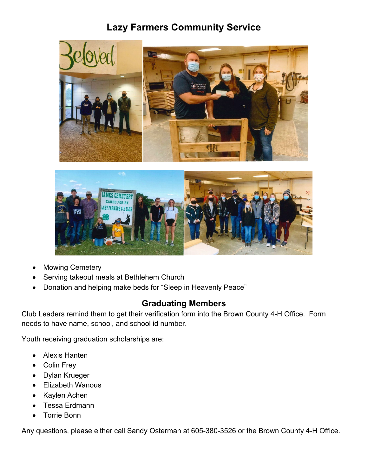# **Lazy Farmers Community Service**





- **Mowing Cemetery**
- Serving takeout meals at Bethlehem Church
- Donation and helping make beds for "Sleep in Heavenly Peace"

## **Graduating Members**

Club Leaders remind them to get their verification form into the Brown County 4-H Office. Form needs to have name, school, and school id number.

Youth receiving graduation scholarships are:

- Alexis Hanten
- Colin Frey
- Dylan Krueger
- Elizabeth Wanous
- Kaylen Achen
- Tessa Erdmann
- Torrie Bonn

Any questions, please either call Sandy Osterman at 605-380-3526 or the Brown County 4-H Office.